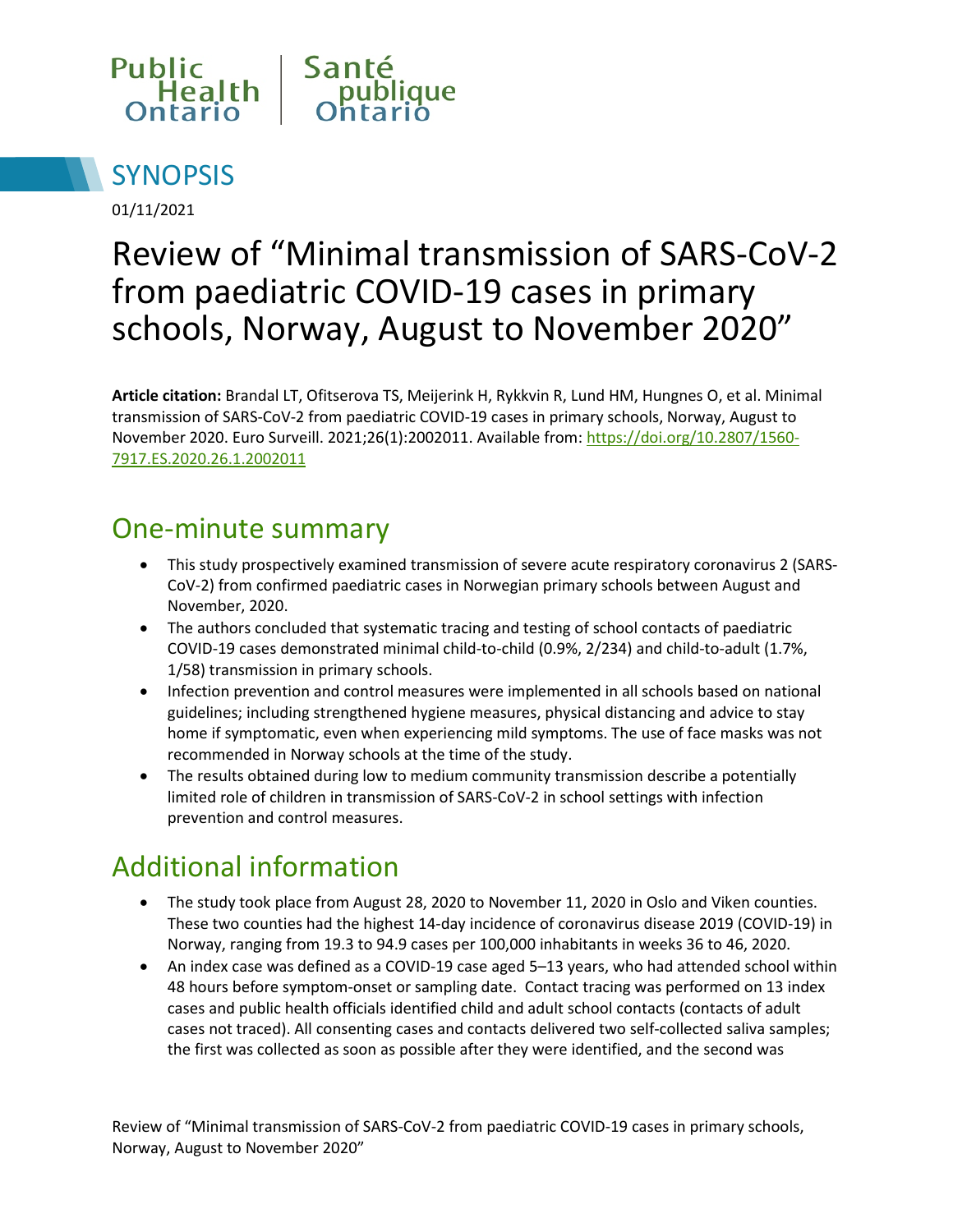



01/11/2021

# Review of "Minimal transmission of SARS-CoV-2 from paediatric COVID-19 cases in primary schools, Norway, August to November 2020"

**Article citation:** Brandal LT, Ofitserova TS, Meijerink H, Rykkvin R, Lund HM, Hungnes O, et al. Minimal transmission of SARS-CoV-2 from paediatric COVID-19 cases in primary schools, Norway, August to November 2020. Euro Surveill. 2021;26(1):2002011. Available from: [https://doi.org/10.2807/1560-](https://doi.org/10.2807/1560-7917.ES.2020.26.1.2002011) [7917.ES.2020.26.1.2002011](https://doi.org/10.2807/1560-7917.ES.2020.26.1.2002011)

#### One-minute summary

- This study prospectively examined transmission of severe acute respiratory coronavirus 2 (SARS-CoV-2) from confirmed paediatric cases in Norwegian primary schools between August and November, 2020.
- The authors concluded that systematic tracing and testing of school contacts of paediatric COVID-19 cases demonstrated minimal child-to-child (0.9%, 2/234) and child-to-adult (1.7%, 1/58) transmission in primary schools.
- Infection prevention and control measures were implemented in all schools based on national guidelines; including strengthened hygiene measures, physical distancing and advice to stay home if symptomatic, even when experiencing mild symptoms. The use of face masks was not recommended in Norway schools at the time of the study.
- The results obtained during low to medium community transmission describe a potentially limited role of children in transmission of SARS-CoV-2 in school settings with infection prevention and control measures.

# Additional information

- The study took place from August 28, 2020 to November 11, 2020 in Oslo and Viken counties. These two counties had the highest 14-day incidence of coronavirus disease 2019 (COVID-19) in Norway, ranging from 19.3 to 94.9 cases per 100,000 inhabitants in weeks 36 to 46, 2020.
- An index case was defined as a COVID-19 case aged 5–13 years, who had attended school within 48 hours before symptom-onset or sampling date. Contact tracing was performed on 13 index cases and public health officials identified child and adult school contacts (contacts of adult cases not traced). All consenting cases and contacts delivered two self-collected saliva samples; the first was collected as soon as possible after they were identified, and the second was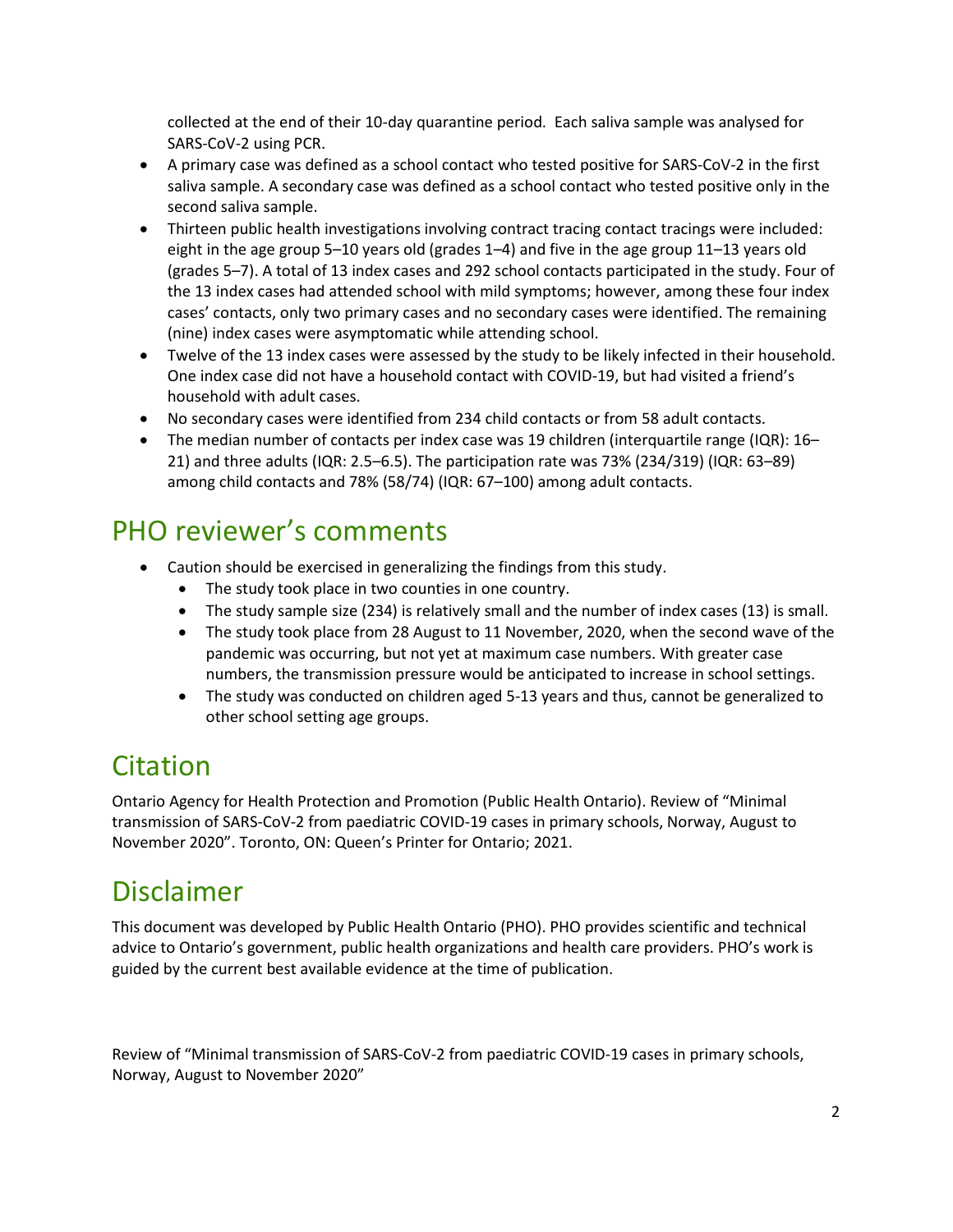collected at the end of their 10-day quarantine period. Each saliva sample was analysed for SARS-CoV-2 using PCR.

- A primary case was defined as a school contact who tested positive for SARS-CoV-2 in the first saliva sample. A secondary case was defined as a school contact who tested positive only in the second saliva sample.
- Thirteen public health investigations involving contract tracing contact tracings were included: eight in the age group 5–10 years old (grades 1–4) and five in the age group 11–13 years old (grades 5–7). A total of 13 index cases and 292 school contacts participated in the study. Four of the 13 index cases had attended school with mild symptoms; however, among these four index cases' contacts, only two primary cases and no secondary cases were identified. The remaining (nine) index cases were asymptomatic while attending school.
- Twelve of the 13 index cases were assessed by the study to be likely infected in their household. One index case did not have a household contact with COVID-19, but had visited a friend's household with adult cases.
- No secondary cases were identified from 234 child contacts or from 58 adult contacts.
- The median number of contacts per index case was 19 children (interquartile range (IQR): 16– 21) and three adults (IQR: 2.5–6.5). The participation rate was 73% (234/319) (IQR: 63–89) among child contacts and 78% (58/74) (IQR: 67–100) among adult contacts.

# PHO reviewer's comments

- Caution should be exercised in generalizing the findings from this study.
	- The study took place in two counties in one country.
	- The study sample size (234) is relatively small and the number of index cases (13) is small.
	- The study took place from 28 August to 11 November, 2020, when the second wave of the pandemic was occurring, but not yet at maximum case numbers. With greater case numbers, the transmission pressure would be anticipated to increase in school settings.
	- The study was conducted on children aged 5-13 years and thus, cannot be generalized to other school setting age groups.

# **Citation**

Ontario Agency for Health Protection and Promotion (Public Health Ontario). Review of "Minimal transmission of SARS-CoV-2 from paediatric COVID-19 cases in primary schools, Norway, August to November 2020". Toronto, ON: Queen's Printer for Ontario; 2021.

#### Disclaimer

This document was developed by Public Health Ontario (PHO). PHO provides scientific and technical advice to Ontario's government, public health organizations and health care providers. PHO's work is guided by the current best available evidence at the time of publication.

Review of "Minimal transmission of SARS-CoV-2 from paediatric COVID-19 cases in primary schools, Norway, August to November 2020"